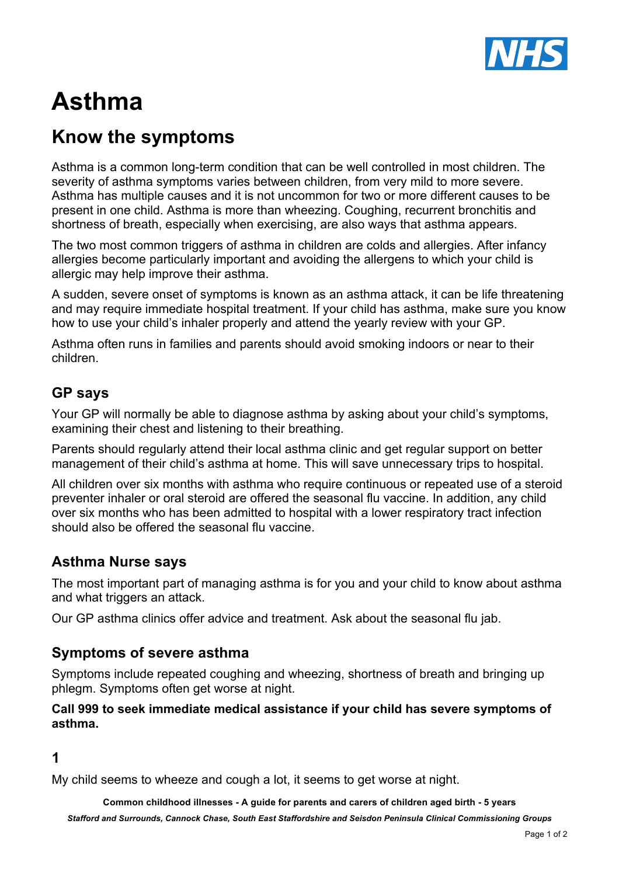

# **Asthma**

## **Know the symptoms**

Asthma is a common long-term condition that can be well controlled in most children. The severity of asthma symptoms varies between children, from very mild to more severe. Asthma has multiple causes and it is not uncommon for two or more different causes to be present in one child. Asthma is more than wheezing. Coughing, recurrent bronchitis and shortness of breath, especially when exercising, are also ways that asthma appears.

The two most common triggers of asthma in children are colds and allergies. After infancy allergies become particularly important and avoiding the allergens to which your child is allergic may help improve their asthma.

A sudden, severe onset of symptoms is known as an asthma attack, it can be life threatening and may require immediate hospital treatment. If your child has asthma, make sure you know how to use your child's inhaler properly and attend the yearly review with your GP.

Asthma often runs in families and parents should avoid smoking indoors or near to their children.

#### **GP says**

Your GP will normally be able to diagnose asthma by asking about your child's symptoms, examining their chest and listening to their breathing.

Parents should regularly attend their local asthma clinic and get regular support on better management of their child's asthma at home. This will save unnecessary trips to hospital.

All children over six months with asthma who require continuous or repeated use of a steroid preventer inhaler or oral steroid are offered the seasonal flu vaccine. In addition, any child over six months who has been admitted to hospital with a lower respiratory tract infection should also be offered the seasonal flu vaccine.

#### **Asthma Nurse says**

The most important part of managing asthma is for you and your child to know about asthma and what triggers an attack.

Our GP asthma clinics offer advice and treatment. Ask about the seasonal flu jab.

#### **Symptoms of severe asthma**

Symptoms include repeated coughing and wheezing, shortness of breath and bringing up phlegm. Symptoms often get worse at night.

#### **Call 999 to seek immediate medical assistance if your child has severe symptoms of asthma.**

#### **1**

My child seems to wheeze and cough a lot, it seems to get worse at night.

**Common childhood illnesses - A guide for parents and carers of children aged birth - 5 years**

*Stafford and Surrounds, Cannock Chase, South East Staffordshire and Seisdon Peninsula Clinical Commissioning Groups*